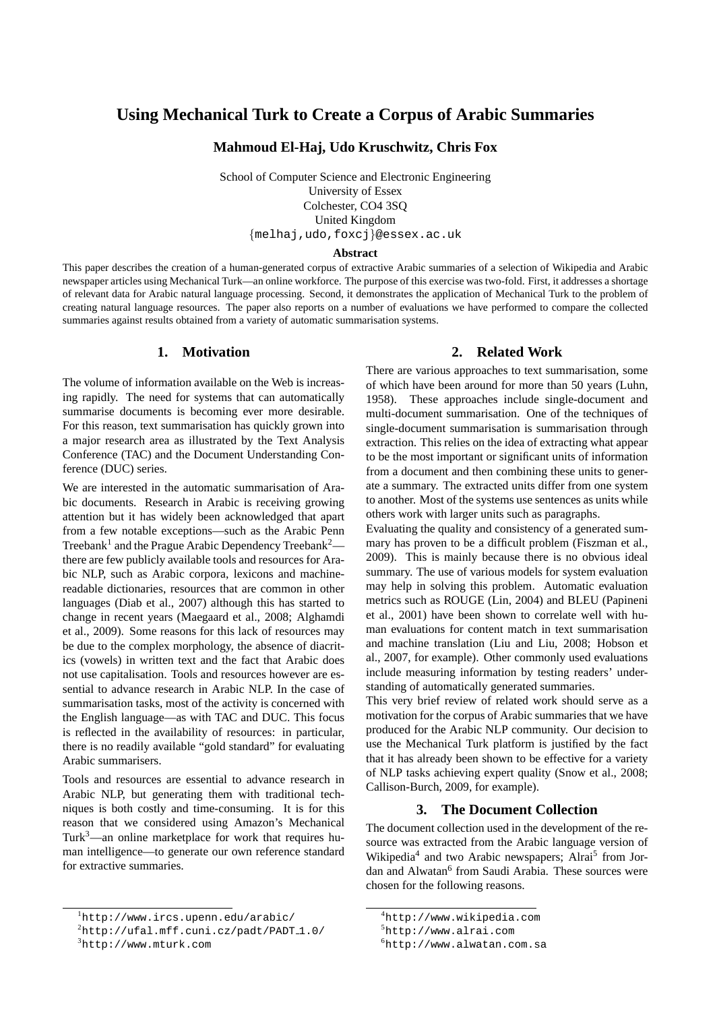# **Using Mechanical Turk to Create a Corpus of Arabic Summaries**

**Mahmoud El-Haj, Udo Kruschwitz, Chris Fox**

School of Computer Science and Electronic Engineering University of Essex Colchester, CO4 3SQ United Kingdom {melhaj,udo,foxcj}@essex.ac.uk

#### **Abstract**

This paper describes the creation of a human-generated corpus of extractive Arabic summaries of a selection of Wikipedia and Arabic newspaper articles using Mechanical Turk—an online workforce. The purpose of this exercise was two-fold. First, it addresses a shortage of relevant data for Arabic natural language processing. Second, it demonstrates the application of Mechanical Turk to the problem of creating natural language resources. The paper also reports on a number of evaluations we have performed to compare the collected summaries against results obtained from a variety of automatic summarisation systems.

### **1. Motivation**

The volume of information available on the Web is increasing rapidly. The need for systems that can automatically summarise documents is becoming ever more desirable. For this reason, text summarisation has quickly grown into a major research area as illustrated by the Text Analysis Conference (TAC) and the Document Understanding Conference (DUC) series.

We are interested in the automatic summarisation of Arabic documents. Research in Arabic is receiving growing attention but it has widely been acknowledged that apart from a few notable exceptions—such as the Arabic Penn Treebank<sup>1</sup> and the Prague Arabic Dependency Treebank<sup>2</sup> there are few publicly available tools and resources for Arabic NLP, such as Arabic corpora, lexicons and machinereadable dictionaries, resources that are common in other languages (Diab et al., 2007) although this has started to change in recent years (Maegaard et al., 2008; Alghamdi et al., 2009). Some reasons for this lack of resources may be due to the complex morphology, the absence of diacritics (vowels) in written text and the fact that Arabic does not use capitalisation. Tools and resources however are essential to advance research in Arabic NLP. In the case of summarisation tasks, most of the activity is concerned with the English language—as with TAC and DUC. This focus is reflected in the availability of resources: in particular, there is no readily available "gold standard" for evaluating Arabic summarisers.

Tools and resources are essential to advance research in Arabic NLP, but generating them with traditional techniques is both costly and time-consuming. It is for this reason that we considered using Amazon's Mechanical Turk $3$ —an online marketplace for work that requires human intelligence—to generate our own reference standard for extractive summaries.

#### <sup>1</sup>http://www.ircs.upenn.edu/arabic/

 $3$ http://www.mturk.com

### **2. Related Work**

There are various approaches to text summarisation, some of which have been around for more than 50 years (Luhn, 1958). These approaches include single-document and multi-document summarisation. One of the techniques of single-document summarisation is summarisation through extraction. This relies on the idea of extracting what appear to be the most important or significant units of information from a document and then combining these units to generate a summary. The extracted units differ from one system to another. Most of the systems use sentences as units while others work with larger units such as paragraphs.

Evaluating the quality and consistency of a generated summary has proven to be a difficult problem (Fiszman et al., 2009). This is mainly because there is no obvious ideal summary. The use of various models for system evaluation may help in solving this problem. Automatic evaluation metrics such as ROUGE (Lin, 2004) and BLEU (Papineni et al., 2001) have been shown to correlate well with human evaluations for content match in text summarisation and machine translation (Liu and Liu, 2008; Hobson et al., 2007, for example). Other commonly used evaluations include measuring information by testing readers' understanding of automatically generated summaries.

This very brief review of related work should serve as a motivation for the corpus of Arabic summaries that we have produced for the Arabic NLP community. Our decision to use the Mechanical Turk platform is justified by the fact that it has already been shown to be effective for a variety of NLP tasks achieving expert quality (Snow et al., 2008; Callison-Burch, 2009, for example).

## **3. The Document Collection**

The document collection used in the development of the resource was extracted from the Arabic language version of Wikipedia<sup>4</sup> and two Arabic newspapers; Alrai<sup>5</sup> from Jordan and Alwatan<sup>6</sup> from Saudi Arabia. These sources were chosen for the following reasons.

 $^{2}$ http://ufal.mff.cuni.cz/padt/PADT<sub>-</sub>1.0/

<sup>4</sup>http://www.wikipedia.com

<sup>5</sup>http://www.alrai.com

<sup>6</sup>http://www.alwatan.com.sa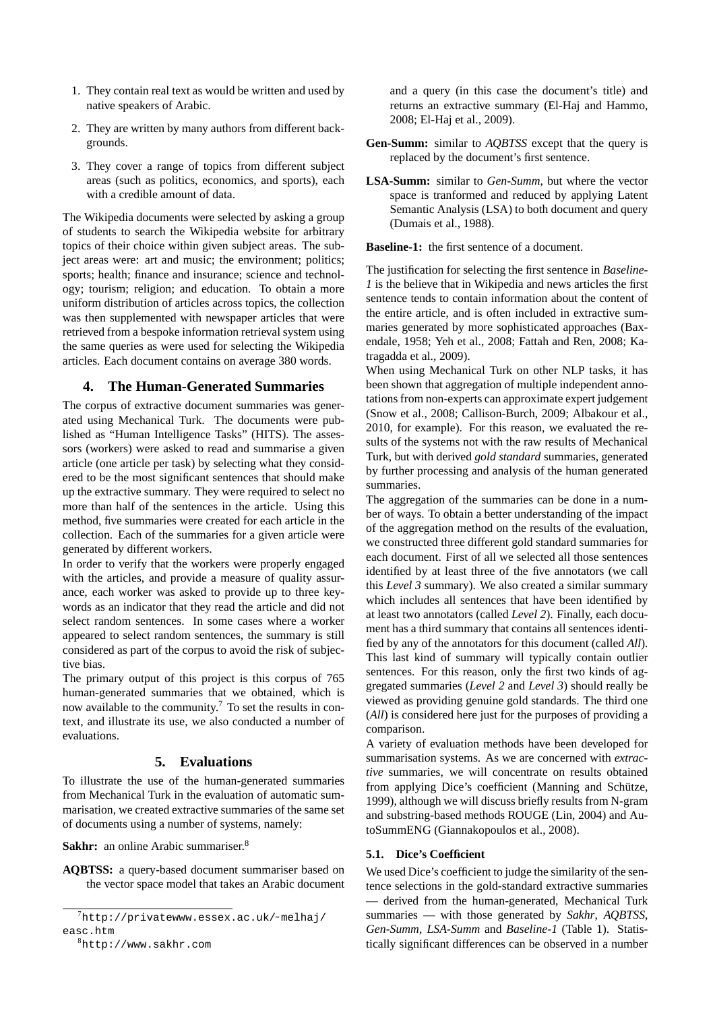- 1. They contain real text as would be written and used by native speakers of Arabic.
- 2. They are written by many authors from different backgrounds.
- 3. They cover a range of topics from different subject areas (such as politics, economics, and sports), each with a credible amount of data.

The Wikipedia documents were selected by asking a group of students to search the Wikipedia website for arbitrary topics of their choice within given subject areas. The subject areas were: art and music; the environment; politics; sports; health; finance and insurance; science and technology; tourism; religion; and education. To obtain a more uniform distribution of articles across topics, the collection was then supplemented with newspaper articles that were retrieved from a bespoke information retrieval system using the same queries as were used for selecting the Wikipedia articles. Each document contains on average 380 words.

### **4. The Human-Generated Summaries**

The corpus of extractive document summaries was generated using Mechanical Turk. The documents were published as "Human Intelligence Tasks" (HITS). The assessors (workers) were asked to read and summarise a given article (one article per task) by selecting what they considered to be the most significant sentences that should make up the extractive summary. They were required to select no more than half of the sentences in the article. Using this method, five summaries were created for each article in the collection. Each of the summaries for a given article were generated by different workers.

In order to verify that the workers were properly engaged with the articles, and provide a measure of quality assurance, each worker was asked to provide up to three keywords as an indicator that they read the article and did not select random sentences. In some cases where a worker appeared to select random sentences, the summary is still considered as part of the corpus to avoid the risk of subjective bias.

The primary output of this project is this corpus of 765 human-generated summaries that we obtained, which is now available to the community.<sup>7</sup> To set the results in context, and illustrate its use, we also conducted a number of evaluations.

### **5. Evaluations**

To illustrate the use of the human-generated summaries from Mechanical Turk in the evaluation of automatic summarisation, we created extractive summaries of the same set of documents using a number of systems, namely:

Sakhr: an online Arabic summariser.<sup>8</sup>

**AQBTSS:** a query-based document summariser based on the vector space model that takes an Arabic document

and a query (in this case the document's title) and returns an extractive summary (El-Haj and Hammo, 2008; El-Haj et al., 2009).

- **Gen-Summ:** similar to *AQBTSS* except that the query is replaced by the document's first sentence.
- **LSA-Summ:** similar to *Gen-Summ*, but where the vector space is tranformed and reduced by applying Latent Semantic Analysis (LSA) to both document and query (Dumais et al., 1988).

**Baseline-1:** the first sentence of a document.

The justification for selecting the first sentence in *Baseline-1* is the believe that in Wikipedia and news articles the first sentence tends to contain information about the content of the entire article, and is often included in extractive summaries generated by more sophisticated approaches (Baxendale, 1958; Yeh et al., 2008; Fattah and Ren, 2008; Katragadda et al., 2009).

When using Mechanical Turk on other NLP tasks, it has been shown that aggregation of multiple independent annotations from non-experts can approximate expert judgement (Snow et al., 2008; Callison-Burch, 2009; Albakour et al., 2010, for example). For this reason, we evaluated the results of the systems not with the raw results of Mechanical Turk, but with derived *gold standard* summaries, generated by further processing and analysis of the human generated summaries.

The aggregation of the summaries can be done in a number of ways. To obtain a better understanding of the impact of the aggregation method on the results of the evaluation, we constructed three different gold standard summaries for each document. First of all we selected all those sentences identified by at least three of the five annotators (we call this *Level 3* summary). We also created a similar summary which includes all sentences that have been identified by at least two annotators (called *Level 2*). Finally, each document has a third summary that contains all sentences identified by any of the annotators for this document (called *All*). This last kind of summary will typically contain outlier sentences. For this reason, only the first two kinds of aggregated summaries (*Level 2* and *Level 3*) should really be viewed as providing genuine gold standards. The third one (*All*) is considered here just for the purposes of providing a comparison.

A variety of evaluation methods have been developed for summarisation systems. As we are concerned with *extractive* summaries, we will concentrate on results obtained from applying Dice's coefficient (Manning and Schütze, 1999), although we will discuss briefly results from N-gram and substring-based methods ROUGE (Lin, 2004) and AutoSummENG (Giannakopoulos et al., 2008).

#### **5.1. Dice's Coefficient**

We used Dice's coefficient to judge the similarity of the sentence selections in the gold-standard extractive summaries — derived from the human-generated, Mechanical Turk summaries — with those generated by *Sakhr*, *AQBTSS*, *Gen-Summ*, *LSA-Summ* and *Baseline-1* (Table 1). Statistically significant differences can be observed in a number

 $7$ http://privatewww.essex.ac.uk/~melhaj/ easc.htm

<sup>8</sup>http://www.sakhr.com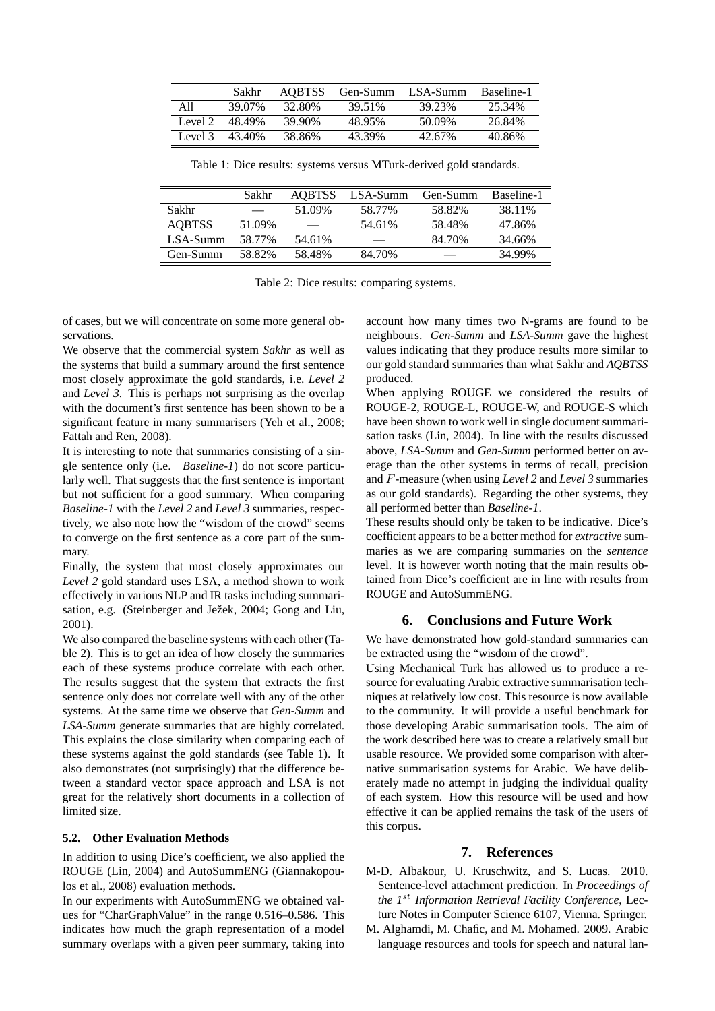|         | Sakhr  | AOBTSS             | Gen-Summ | LSA-Summ | Baseline-1 |
|---------|--------|--------------------|----------|----------|------------|
| A11     | 39.07% | 32.80 <sup>%</sup> | 39 51%   | 39 23%   | 25.34%     |
| Level 2 | 48.49% | 39.90%             | 48.95%   | 50.09%   | 26.84%     |
| Level 3 | 43 40% | 38.86%             | 43.39%   | 42.67%   | 40.86%     |

Table 1: Dice results: systems versus MTurk-derived gold standards.

|               | Sakhr  | <b>AOBTSS</b> | LSA-Summ | Gen-Summ | Baseline-1 |
|---------------|--------|---------------|----------|----------|------------|
| Sakhr         |        | 51.09%        | 58.77%   | 58.82%   | 38.11%     |
| <b>AOBTSS</b> | 51.09% |               | 54.61%   | 58.48%   | 47.86%     |
| LSA-Summ      | 58.77% | 54.61%        | –        | 84.70%   | 34.66%     |
| Gen-Summ      | 58.82% | 58.48%        | 84.70%   |          | 34.99%     |

Table 2: Dice results: comparing systems.

of cases, but we will concentrate on some more general observations.

We observe that the commercial system *Sakhr* as well as the systems that build a summary around the first sentence most closely approximate the gold standards, i.e. *Level 2* and *Level 3*. This is perhaps not surprising as the overlap with the document's first sentence has been shown to be a significant feature in many summarisers (Yeh et al., 2008; Fattah and Ren, 2008).

It is interesting to note that summaries consisting of a single sentence only (i.e. *Baseline-1*) do not score particularly well. That suggests that the first sentence is important but not sufficient for a good summary. When comparing *Baseline-1* with the *Level 2* and *Level 3* summaries, respectively, we also note how the "wisdom of the crowd" seems to converge on the first sentence as a core part of the summary.

Finally, the system that most closely approximates our *Level 2* gold standard uses LSA, a method shown to work effectively in various NLP and IR tasks including summarisation, e.g. (Steinberger and Ježek, 2004; Gong and Liu, 2001).

We also compared the baseline systems with each other (Table 2). This is to get an idea of how closely the summaries each of these systems produce correlate with each other. The results suggest that the system that extracts the first sentence only does not correlate well with any of the other systems. At the same time we observe that *Gen-Summ* and *LSA-Summ* generate summaries that are highly correlated. This explains the close similarity when comparing each of these systems against the gold standards (see Table 1). It also demonstrates (not surprisingly) that the difference between a standard vector space approach and LSA is not great for the relatively short documents in a collection of limited size.

#### **5.2. Other Evaluation Methods**

In addition to using Dice's coefficient, we also applied the ROUGE (Lin, 2004) and AutoSummENG (Giannakopoulos et al., 2008) evaluation methods.

In our experiments with AutoSummENG we obtained values for "CharGraphValue" in the range 0.516–0.586. This indicates how much the graph representation of a model summary overlaps with a given peer summary, taking into account how many times two N-grams are found to be neighbours. *Gen-Summ* and *LSA-Summ* gave the highest values indicating that they produce results more similar to our gold standard summaries than what Sakhr and *AQBTSS* produced.

When applying ROUGE we considered the results of ROUGE-2, ROUGE-L, ROUGE-W, and ROUGE-S which have been shown to work well in single document summarisation tasks (Lin, 2004). In line with the results discussed above, *LSA-Summ* and *Gen-Summ* performed better on average than the other systems in terms of recall, precision and F-measure (when using *Level 2* and *Level 3* summaries as our gold standards). Regarding the other systems, they all performed better than *Baseline-1*.

These results should only be taken to be indicative. Dice's coefficient appears to be a better method for *extractive* summaries as we are comparing summaries on the *sentence* level. It is however worth noting that the main results obtained from Dice's coefficient are in line with results from ROUGE and AutoSummENG.

### **6. Conclusions and Future Work**

We have demonstrated how gold-standard summaries can be extracted using the "wisdom of the crowd".

Using Mechanical Turk has allowed us to produce a resource for evaluating Arabic extractive summarisation techniques at relatively low cost. This resource is now available to the community. It will provide a useful benchmark for those developing Arabic summarisation tools. The aim of the work described here was to create a relatively small but usable resource. We provided some comparison with alternative summarisation systems for Arabic. We have deliberately made no attempt in judging the individual quality of each system. How this resource will be used and how effective it can be applied remains the task of the users of this corpus.

#### **7. References**

- M-D. Albakour, U. Kruschwitz, and S. Lucas. 2010. Sentence-level attachment prediction. In *Proceedings of the 1*st *Information Retrieval Facility Conference*, Lecture Notes in Computer Science 6107, Vienna. Springer.
- M. Alghamdi, M. Chafic, and M. Mohamed. 2009. Arabic language resources and tools for speech and natural lan-